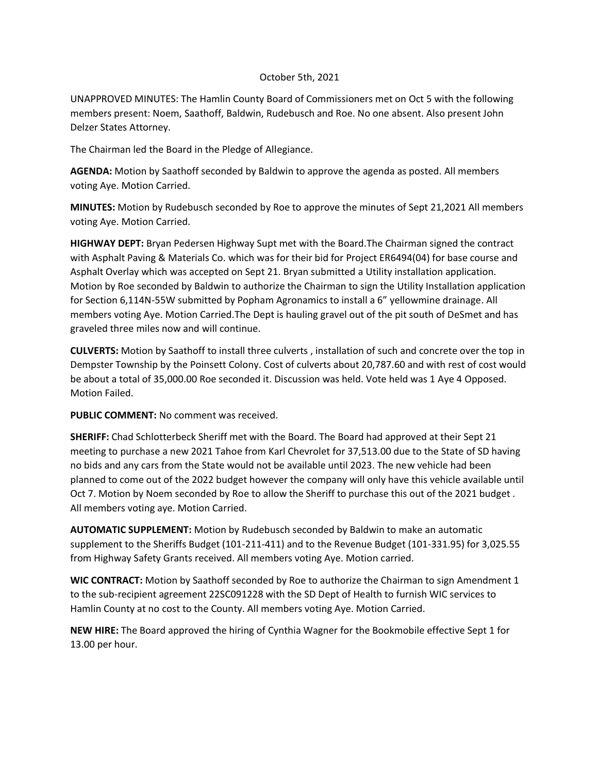## October 5th, 2021

UNAPPROVED MINUTES: The Hamlin County Board of Commissioners met on Oct 5 with the following members present: Noem, Saathoff, Baldwin, Rudebusch and Roe. No one absent. Also present John Delzer States Attorney.

The Chairman led the Board in the Pledge of Allegiance.

**AGENDA:** Motion by Saathoff seconded by Baldwin to approve the agenda as posted. All members voting Aye. Motion Carried.

**MINUTES:** Motion by Rudebusch seconded by Roe to approve the minutes of Sept 21,2021 All members voting Aye. Motion Carried.

**HIGHWAY DEPT:** Bryan Pedersen Highway Supt met with the Board.The Chairman signed the contract with Asphalt Paving & Materials Co. which was for their bid for Project ER6494(04) for base course and Asphalt Overlay which was accepted on Sept 21. Bryan submitted a Utility installation application. Motion by Roe seconded by Baldwin to authorize the Chairman to sign the Utility Installation application for Section 6,114N-55W submitted by Popham Agronamics to install a 6" yellowmine drainage. All members voting Aye. Motion Carried.The Dept is hauling gravel out of the pit south of DeSmet and has graveled three miles now and will continue.

**CULVERTS:** Motion by Saathoff to install three culverts , installation of such and concrete over the top in Dempster Township by the Poinsett Colony. Cost of culverts about 20,787.60 and with rest of cost would be about a total of 35,000.00 Roe seconded it. Discussion was held. Vote held was 1 Aye 4 Opposed. Motion Failed.

**PUBLIC COMMENT:** No comment was received.

**SHERIFF:** Chad Schlotterbeck Sheriff met with the Board. The Board had approved at their Sept 21 meeting to purchase a new 2021 Tahoe from Karl Chevrolet for 37,513.00 due to the State of SD having no bids and any cars from the State would not be available until 2023. The new vehicle had been planned to come out of the 2022 budget however the company will only have this vehicle available until Oct 7. Motion by Noem seconded by Roe to allow the Sheriff to purchase this out of the 2021 budget . All members voting aye. Motion Carried.

**AUTOMATIC SUPPLEMENT:** Motion by Rudebusch seconded by Baldwin to make an automatic supplement to the Sheriffs Budget (101-211-411) and to the Revenue Budget (101-331.95) for 3,025.55 from Highway Safety Grants received. All members voting Aye. Motion carried.

**WIC CONTRACT:** Motion by Saathoff seconded by Roe to authorize the Chairman to sign Amendment 1 to the sub-recipient agreement 22SC091228 with the SD Dept of Health to furnish WIC services to Hamlin County at no cost to the County. All members voting Aye. Motion Carried.

**NEW HIRE:** The Board approved the hiring of Cynthia Wagner for the Bookmobile effective Sept 1 for 13.00 per hour.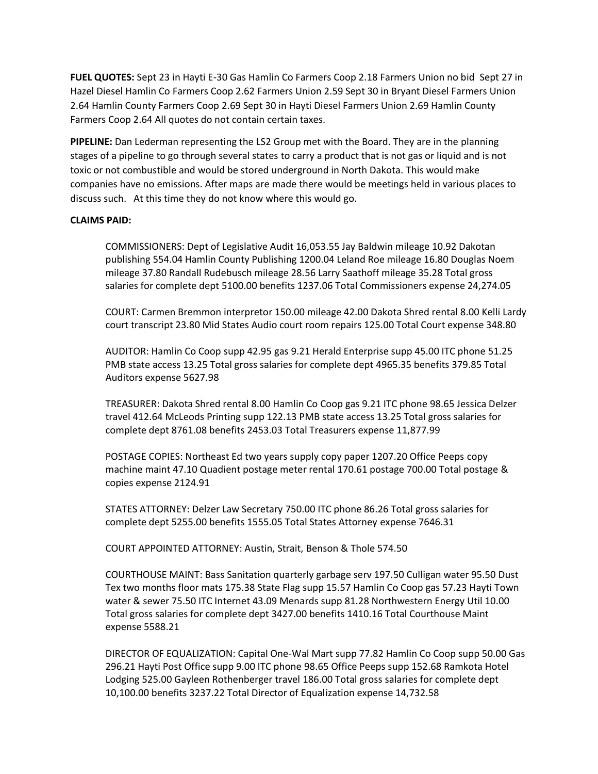**FUEL QUOTES:** Sept 23 in Hayti E-30 Gas Hamlin Co Farmers Coop 2.18 Farmers Union no bid Sept 27 in Hazel Diesel Hamlin Co Farmers Coop 2.62 Farmers Union 2.59 Sept 30 in Bryant Diesel Farmers Union 2.64 Hamlin County Farmers Coop 2.69 Sept 30 in Hayti Diesel Farmers Union 2.69 Hamlin County Farmers Coop 2.64 All quotes do not contain certain taxes.

**PIPELINE:** Dan Lederman representing the LS2 Group met with the Board. They are in the planning stages of a pipeline to go through several states to carry a product that is not gas or liquid and is not toxic or not combustible and would be stored underground in North Dakota. This would make companies have no emissions. After maps are made there would be meetings held in various places to discuss such. At this time they do not know where this would go.

## **CLAIMS PAID:**

COMMISSIONERS: Dept of Legislative Audit 16,053.55 Jay Baldwin mileage 10.92 Dakotan publishing 554.04 Hamlin County Publishing 1200.04 Leland Roe mileage 16.80 Douglas Noem mileage 37.80 Randall Rudebusch mileage 28.56 Larry Saathoff mileage 35.28 Total gross salaries for complete dept 5100.00 benefits 1237.06 Total Commissioners expense 24,274.05

COURT: Carmen Bremmon interpretor 150.00 mileage 42.00 Dakota Shred rental 8.00 Kelli Lardy court transcript 23.80 Mid States Audio court room repairs 125.00 Total Court expense 348.80

AUDITOR: Hamlin Co Coop supp 42.95 gas 9.21 Herald Enterprise supp 45.00 ITC phone 51.25 PMB state access 13.25 Total gross salaries for complete dept 4965.35 benefits 379.85 Total Auditors expense 5627.98

TREASURER: Dakota Shred rental 8.00 Hamlin Co Coop gas 9.21 ITC phone 98.65 Jessica Delzer travel 412.64 McLeods Printing supp 122.13 PMB state access 13.25 Total gross salaries for complete dept 8761.08 benefits 2453.03 Total Treasurers expense 11,877.99

POSTAGE COPIES: Northeast Ed two years supply copy paper 1207.20 Office Peeps copy machine maint 47.10 Quadient postage meter rental 170.61 postage 700.00 Total postage & copies expense 2124.91

STATES ATTORNEY: Delzer Law Secretary 750.00 ITC phone 86.26 Total gross salaries for complete dept 5255.00 benefits 1555.05 Total States Attorney expense 7646.31

COURT APPOINTED ATTORNEY: Austin, Strait, Benson & Thole 574.50

COURTHOUSE MAINT: Bass Sanitation quarterly garbage serv 197.50 Culligan water 95.50 Dust Tex two months floor mats 175.38 State Flag supp 15.57 Hamlin Co Coop gas 57.23 Hayti Town water & sewer 75.50 ITC Internet 43.09 Menards supp 81.28 Northwestern Energy Util 10.00 Total gross salaries for complete dept 3427.00 benefits 1410.16 Total Courthouse Maint expense 5588.21

DIRECTOR OF EQUALIZATION: Capital One-Wal Mart supp 77.82 Hamlin Co Coop supp 50.00 Gas 296.21 Hayti Post Office supp 9.00 ITC phone 98.65 Office Peeps supp 152.68 Ramkota Hotel Lodging 525.00 Gayleen Rothenberger travel 186.00 Total gross salaries for complete dept 10,100.00 benefits 3237.22 Total Director of Equalization expense 14,732.58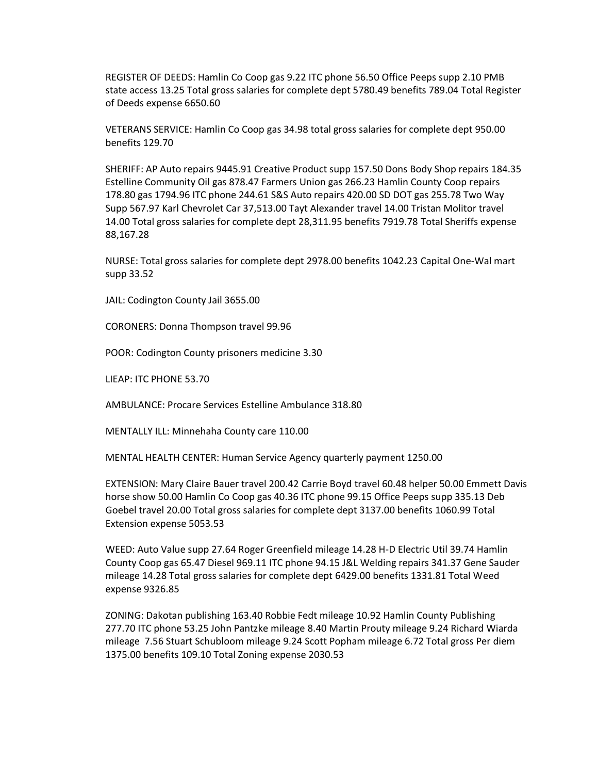REGISTER OF DEEDS: Hamlin Co Coop gas 9.22 ITC phone 56.50 Office Peeps supp 2.10 PMB state access 13.25 Total gross salaries for complete dept 5780.49 benefits 789.04 Total Register of Deeds expense 6650.60

VETERANS SERVICE: Hamlin Co Coop gas 34.98 total gross salaries for complete dept 950.00 benefits 129.70

SHERIFF: AP Auto repairs 9445.91 Creative Product supp 157.50 Dons Body Shop repairs 184.35 Estelline Community Oil gas 878.47 Farmers Union gas 266.23 Hamlin County Coop repairs 178.80 gas 1794.96 ITC phone 244.61 S&S Auto repairs 420.00 SD DOT gas 255.78 Two Way Supp 567.97 Karl Chevrolet Car 37,513.00 Tayt Alexander travel 14.00 Tristan Molitor travel 14.00 Total gross salaries for complete dept 28,311.95 benefits 7919.78 Total Sheriffs expense 88,167.28

NURSE: Total gross salaries for complete dept 2978.00 benefits 1042.23 Capital One-Wal mart supp 33.52

JAIL: Codington County Jail 3655.00

CORONERS: Donna Thompson travel 99.96

POOR: Codington County prisoners medicine 3.30

LIEAP: ITC PHONE 53.70

AMBULANCE: Procare Services Estelline Ambulance 318.80

MENTALLY ILL: Minnehaha County care 110.00

MENTAL HEALTH CENTER: Human Service Agency quarterly payment 1250.00

EXTENSION: Mary Claire Bauer travel 200.42 Carrie Boyd travel 60.48 helper 50.00 Emmett Davis horse show 50.00 Hamlin Co Coop gas 40.36 ITC phone 99.15 Office Peeps supp 335.13 Deb Goebel travel 20.00 Total gross salaries for complete dept 3137.00 benefits 1060.99 Total Extension expense 5053.53

WEED: Auto Value supp 27.64 Roger Greenfield mileage 14.28 H-D Electric Util 39.74 Hamlin County Coop gas 65.47 Diesel 969.11 ITC phone 94.15 J&L Welding repairs 341.37 Gene Sauder mileage 14.28 Total gross salaries for complete dept 6429.00 benefits 1331.81 Total Weed expense 9326.85

ZONING: Dakotan publishing 163.40 Robbie Fedt mileage 10.92 Hamlin County Publishing 277.70 ITC phone 53.25 John Pantzke mileage 8.40 Martin Prouty mileage 9.24 Richard Wiarda mileage 7.56 Stuart Schubloom mileage 9.24 Scott Popham mileage 6.72 Total gross Per diem 1375.00 benefits 109.10 Total Zoning expense 2030.53